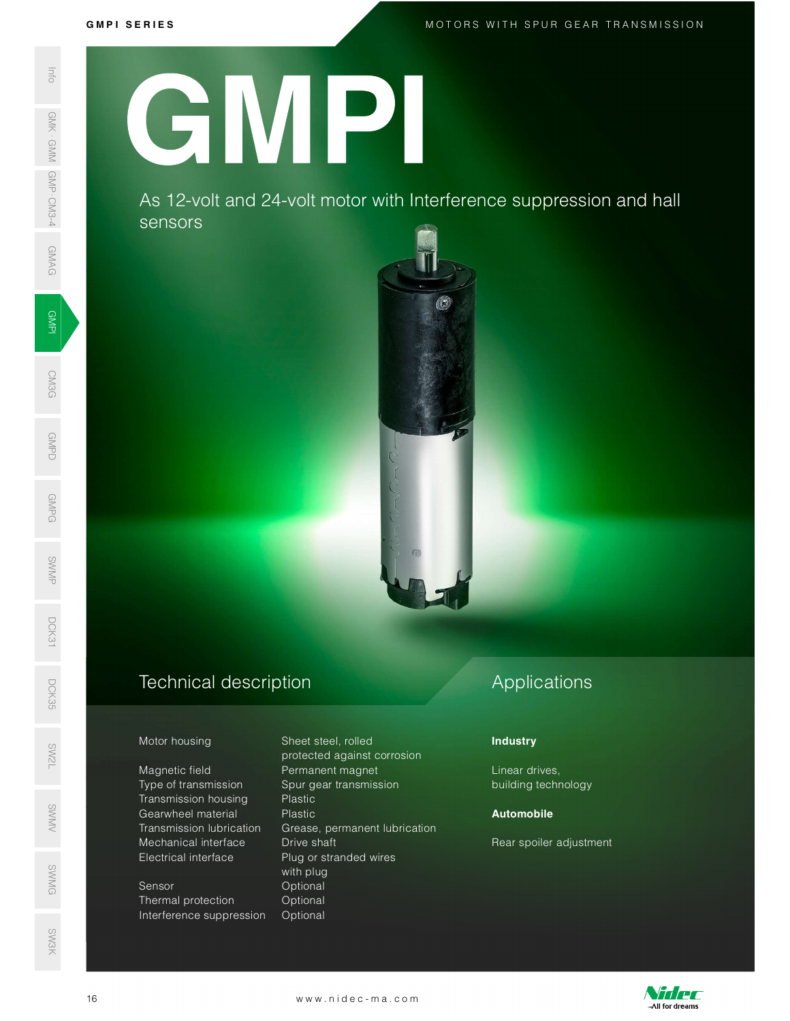GMAG

GMPD<br>Demokratik<br>Demokratik

GMPG

SWMP

DCK31

MOTORS WITH SPUR GEAR TRANSMISSION<br>MOTORS WITH SPUR GEAR TRANSMISSION

GMPI

**CM3G** 

# G M P I S E R I E S SWAS 12-VO<br>
SERIES AS 12-VO<br>
SERIES AS 12-VO<br>
SERIES AS 12-VO<br>
SERIES AS 12-VO<br>
SERIES AS 12-VO<br>
Motor housing<br>
Magnetic field<br>
Transmission<br>
Transmission<br>
Mechanical interference s<br>
SERIES Transmission<br>
Transmission<br>
Tran GMPI

As 12-volt and 24-volt motor with Interference suppression and hall sensors



### Technical description D<sub>CK</sub><br>35<br>55

### Motor housing Sheet steel, rolled

Magnetic field **Permanent magnet** Type of transmission Spur gear transmission Transmission housing Plastic Mechanical interface Drive shaft Electrical interface Plug or stranded wires SW<br>No. 1986<br>No. 1986

### Sensor **Optional** Thermal protection **Optional** Interference suppression Optional SWMG

 protected against corrosion s<br>Sentang Gearwheel material The Plastic<br>Sentang Transmission lubrication Grease, permanent lubricati Transmission lubrication Grease, permanent lubrication with plug Mechanical interface Drive shaft<br>
Electrical interface Plug or stranded wires<br>
with plug<br>
Sensor With plug<br>
Optional<br>
Interference suppression Optional<br>
Interference suppression Optional<br>
WWW.nidec-ma.com

### Applications

### **Industry**

Linear drives, building technology

### Automobile

Rear spoiler adjustment



SW3K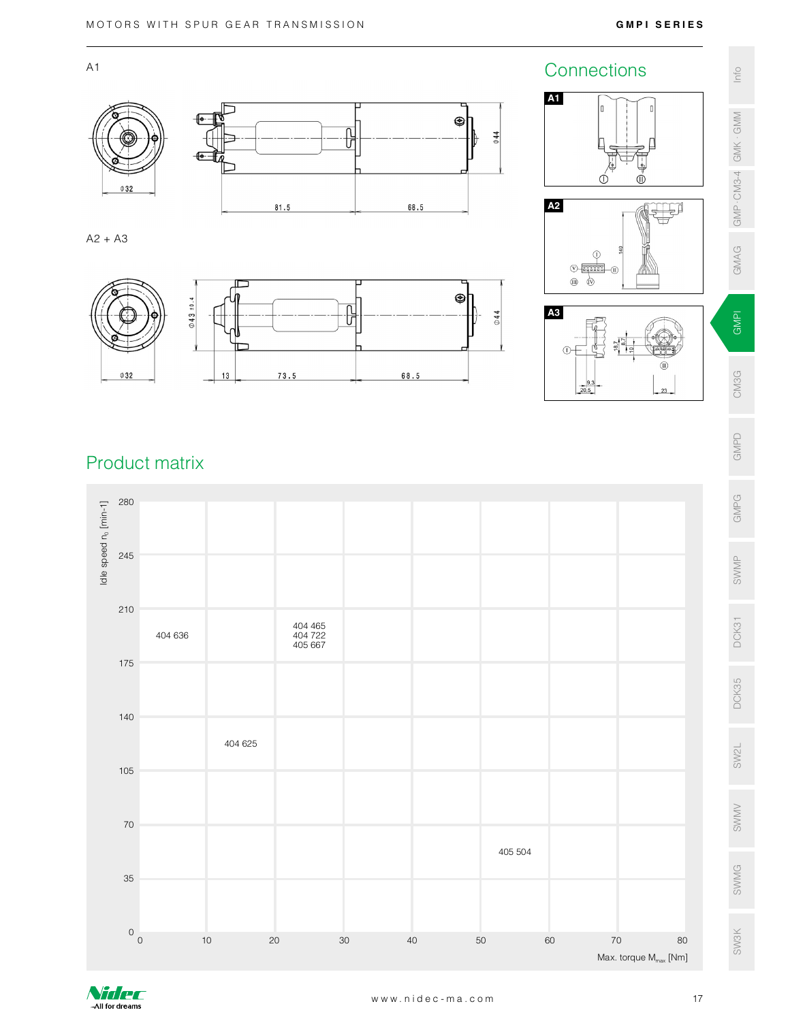



Nidec -All for dreams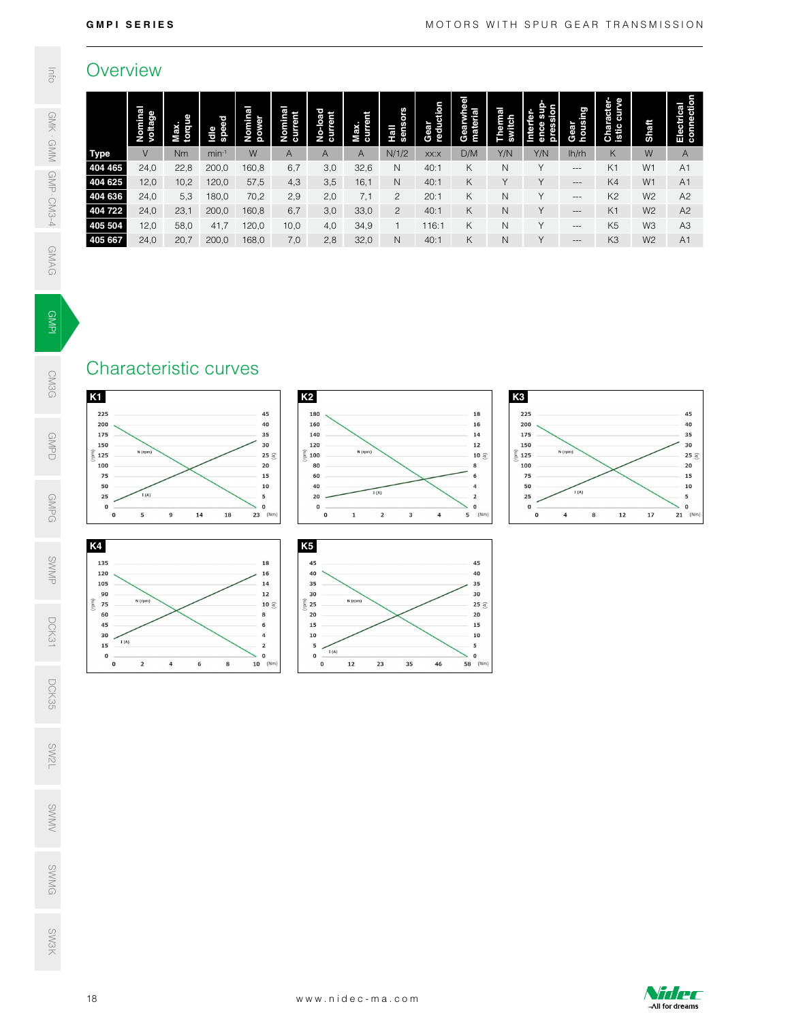### **Overview**

| <b>GMPI SERIES</b>                                                                                                                                                                                                                                                                                                                                                                                 | MOTORS WITH SPUR GEAR TRANSMISSION                                                                                                                                                                                                                                                                                                                                     |                                                                                                                                                             |                                                                                                                                                                           |                                                                                                                                                                                                  |                                                                                                                                       |                                                                                    |                                                                                                                              |
|----------------------------------------------------------------------------------------------------------------------------------------------------------------------------------------------------------------------------------------------------------------------------------------------------------------------------------------------------------------------------------------------------|------------------------------------------------------------------------------------------------------------------------------------------------------------------------------------------------------------------------------------------------------------------------------------------------------------------------------------------------------------------------|-------------------------------------------------------------------------------------------------------------------------------------------------------------|---------------------------------------------------------------------------------------------------------------------------------------------------------------------------|--------------------------------------------------------------------------------------------------------------------------------------------------------------------------------------------------|---------------------------------------------------------------------------------------------------------------------------------------|------------------------------------------------------------------------------------|------------------------------------------------------------------------------------------------------------------------------|
| Overview                                                                                                                                                                                                                                                                                                                                                                                           |                                                                                                                                                                                                                                                                                                                                                                        |                                                                                                                                                             |                                                                                                                                                                           |                                                                                                                                                                                                  |                                                                                                                                       |                                                                                    |                                                                                                                              |
| Nominal<br>voltage<br>Nominal<br>power<br>Max.<br>torque<br>Idle<br>speed<br>$\vee$<br>Nm<br>W<br>$min-1$<br><b>Type</b><br>404 465<br>24,0<br>22,8<br>200,0<br>160,8<br>404 625<br>12,0<br>10,2<br>120,0<br>57,5<br>24,0<br>70,2<br>404 636<br>5,3<br>180,0<br>404 722<br>24,0<br>23,1<br>200,0<br>160,8<br>405 504<br>12,0<br>58,0<br>41,7<br>120,0<br>24,0<br>20,7<br>168,0<br>405 667<br>200,0 | Nominal<br>current<br>Hall<br>sensors<br>No-load<br>current<br>Max.<br>current<br>$\overline{A}$<br>N/1/2<br>$\mathsf{A}$<br>A<br>6,7<br>3,0<br>32,6<br>$\mathsf{N}$<br>16,1<br>4,3<br>3,5<br>$\mathsf{N}$<br>2,9<br>2,0<br>7,1<br>$\overline{c}$<br>6,7<br>33,0<br>$\overline{c}$<br>3,0<br>10,0<br>4,0<br>34,9<br>$\mathbf{1}$<br>32,0<br>7,0<br>2,8<br>$\mathsf{N}$ | Gearwhee<br>Gear<br>reduction<br>material<br>D/M<br>XX:X<br>K<br>40:1<br>40:1<br>K<br>20:1<br>Κ<br>K<br>40:1<br>K<br>116:1<br>K<br>40:1                     | Interfer-<br>ence sup<br>pression<br>Thermal<br>switch<br>Y/N<br>Y/N<br>N<br>Y<br>Y<br>Y<br>$\mathsf N$<br>Y<br>Y<br>$\mathsf{N}$<br>$\hbox{N}$<br>Y<br>$\mathsf{N}$<br>Y | housing<br>Gear<br>lh/rh<br>$\hspace{0.05cm} \ldots$<br>$\hspace{0.05cm} \ldots$<br>$\hspace{0.05cm} \ldots$<br>$\hspace{0.05cm} \ldots$<br>$\hspace{0.05cm} \ldots$<br>$\hspace{0.05cm} \ldots$ | <b>Character-</b><br>istic curve<br>K<br>K <sub>1</sub><br>K4<br>K <sub>2</sub><br>K <sub>1</sub><br>K <sub>5</sub><br>K <sub>3</sub> | Shaft<br>W<br>W1<br>W1<br>W <sub>2</sub><br>W <sub>2</sub><br>W3<br>W <sub>2</sub> | Electrical<br>connection<br>$\mathsf{A}$<br>A <sub>1</sub><br>A1<br>A2<br>A <sub>2</sub><br>A <sub>3</sub><br>A <sub>1</sub> |
| Characteristic curves                                                                                                                                                                                                                                                                                                                                                                              |                                                                                                                                                                                                                                                                                                                                                                        |                                                                                                                                                             |                                                                                                                                                                           |                                                                                                                                                                                                  |                                                                                                                                       |                                                                                    |                                                                                                                              |
| K <sub>1</sub><br>225<br>45<br>200<br>40<br>175<br>35<br>30<br>150<br>N (rpm)<br>5125<br>25 $\mathfrak{S}$<br>100<br>20<br>75<br>15<br>50<br>10<br>I(A)<br>25<br>5<br>$\mathbf 0$<br>$\mathbf 0$<br>$\mathbf{o}$<br>5<br>$\boldsymbol{9}$<br>14<br>18<br>$23$ (Nm)                                                                                                                                 | K <sub>2</sub><br>180<br>160<br>140<br>120<br>N (rpm)<br>$\widehat{a}$ 100<br>80<br>60<br>40<br>I(A)<br>20<br>$\mathbf 0$<br>$\overline{\mathbf{2}}$<br>$\overline{\mathbf{3}}$<br>$\mathbf 0$<br>$\mathbf{1}$                                                                                                                                                         | ${\bf 18}$<br>16<br>$14$<br>$12\,$<br>10 $\mathfrak{S}$<br>8<br>6<br>$\overline{a}$<br>$\overline{\mathbf{z}}$<br>$\mathbf 0$<br>$\overline{a}$<br>$5$ (Nm) | K <sub>3</sub><br>225<br>200<br>175<br>150<br>5125<br>100<br>75<br>50<br>25<br>$\mathbf 0$<br>$\mathbf 0$                                                                 | N (rpm)<br>I(A)<br>$\overline{\mathbf{4}}$<br>8                                                                                                                                                  | 12                                                                                                                                    | 17                                                                                 | 45<br>40<br>35<br>30<br>$25 \leq$<br>20<br>${\bf 15}$<br>10<br>5<br>$\mathbf 0$<br>$21$ (Nm)                                 |
| K4<br>135<br>18<br>120<br>16<br>105<br>14<br>90<br>$12\,$<br>N (rpm)<br>$\widehat{E}$ 75<br>10 $\leq$<br>60<br>$\bf8$<br>45<br>6<br>30<br>$\overline{4}$<br>I(A)<br>15<br>$\overline{\mathbf{z}}$<br>$\mathbf 0$<br>$\mathbf 0$<br>$\mathbf{2}$<br>$10$ (Nm)<br>$\mathbf{o}$<br>$\overline{4}$<br>6<br>8                                                                                           | K5<br>45<br>40<br>35<br>30<br>N (rpm)<br>$\widehat{\xi}$ 25<br>20<br>15<br>10<br>${\bf 5}$<br>I(A)<br>$\mathbf 0$<br>$\pmb{\mathsf{o}}$<br>$12\,$<br>23<br>35                                                                                                                                                                                                          | 45<br>40<br>35<br>30<br>25 $\widehat{\leq}$<br>20<br>${\bf 15}$<br>${\bf 10}$<br>${\bf 5}$<br>$\mathbf 0$<br>58 (Nm)<br>46                                  |                                                                                                                                                                           |                                                                                                                                                                                                  |                                                                                                                                       |                                                                                    |                                                                                                                              |
|                                                                                                                                                                                                                                                                                                                                                                                                    |                                                                                                                                                                                                                                                                                                                                                                        |                                                                                                                                                             |                                                                                                                                                                           |                                                                                                                                                                                                  |                                                                                                                                       |                                                                                    |                                                                                                                              |
|                                                                                                                                                                                                                                                                                                                                                                                                    |                                                                                                                                                                                                                                                                                                                                                                        |                                                                                                                                                             |                                                                                                                                                                           |                                                                                                                                                                                                  |                                                                                                                                       |                                                                                    |                                                                                                                              |
| 18                                                                                                                                                                                                                                                                                                                                                                                                 | www.nidec-ma.com                                                                                                                                                                                                                                                                                                                                                       |                                                                                                                                                             |                                                                                                                                                                           |                                                                                                                                                                                                  |                                                                                                                                       |                                                                                    | Nidec                                                                                                                        |

I GMAG

lnfo

GMK · GMM GMP · CM3-4

## **GMPI**

# CM3G

**GMPD** 

**GMPG** 

SWMP

DCK31 DCK35 SW2L SWMV SWMG

SW3K